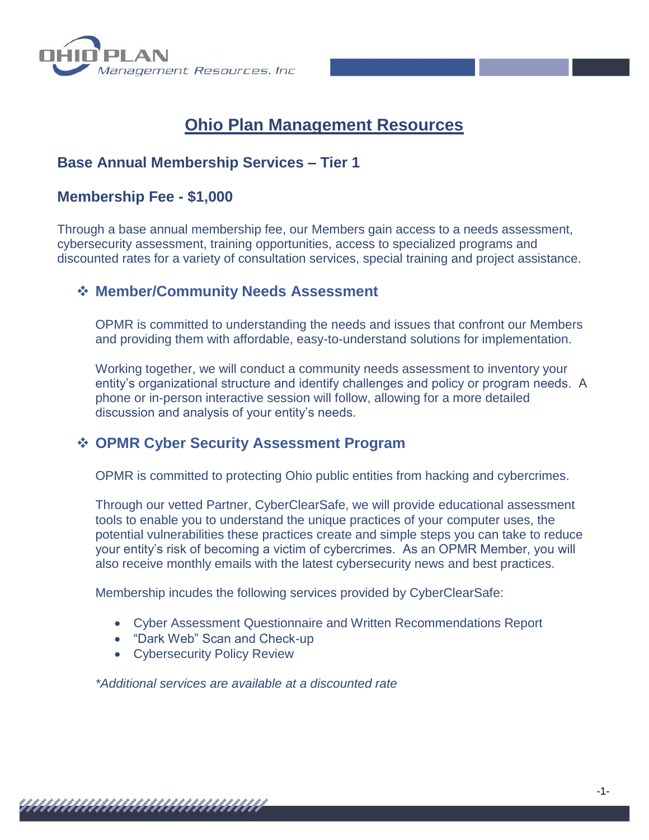

# **Ohio Plan Management Resources**

### **Base Annual Membership Services – Tier 1**

### **Membership Fee - \$1,000**

Through a base annual membership fee, our Members gain access to a needs assessment, cybersecurity assessment, training opportunities, access to specialized programs and discounted rates for a variety of consultation services, special training and project assistance.

### ❖ **Member/Community Needs Assessment**

OPMR is committed to understanding the needs and issues that confront our Members and providing them with affordable, easy-to-understand solutions for implementation.

Working together, we will conduct a community needs assessment to inventory your entity's organizational structure and identify challenges and policy or program needs. A phone or in-person interactive session will follow, allowing for a more detailed discussion and analysis of your entity's needs.

### ❖ **OPMR Cyber Security Assessment Program**

OPMR is committed to protecting Ohio public entities from hacking and cybercrimes.

Through our vetted Partner, CyberClearSafe, we will provide educational assessment tools to enable you to understand the unique practices of your computer uses, the potential vulnerabilities these practices create and simple steps you can take to reduce your entity's risk of becoming a victim of cybercrimes. As an OPMR Member, you will also receive monthly emails with the latest cybersecurity news and best practices.

Membership incudes the following services provided by CyberClearSafe:

- Cyber Assessment Questionnaire and Written Recommendations Report
- "Dark Web" Scan and Check-up
- Cybersecurity Policy Review

*\*Additional services are available at a discounted rate*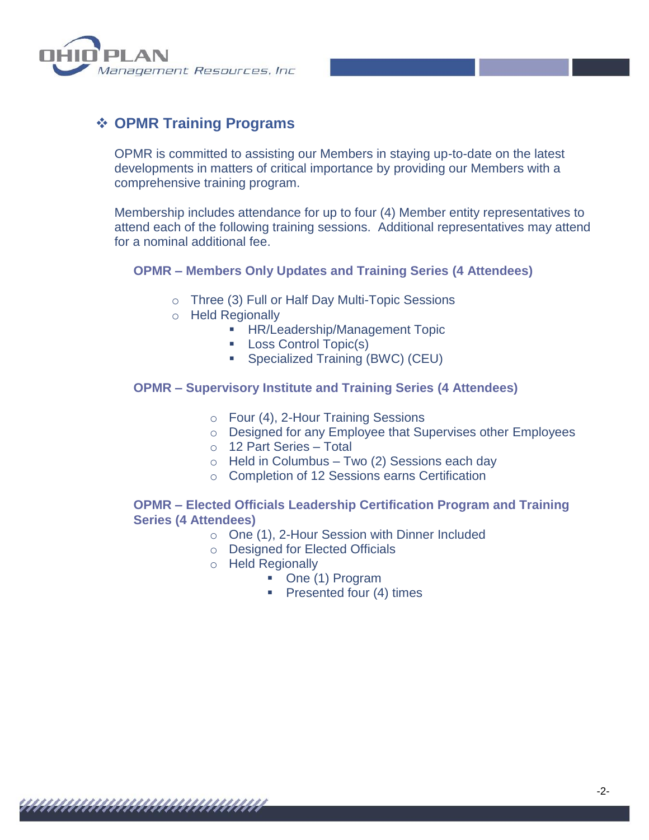

## ❖ **OPMR Training Programs**

OPMR is committed to assisting our Members in staying up-to-date on the latest developments in matters of critical importance by providing our Members with a comprehensive training program.

Membership includes attendance for up to four (4) Member entity representatives to attend each of the following training sessions. Additional representatives may attend for a nominal additional fee.

#### **OPMR – Members Only Updates and Training Series (4 Attendees)**

- o Three (3) Full or Half Day Multi-Topic Sessions
- o Held Regionally
	- **E** HR/Leadership/Management Topic
	- Loss Control Topic(s)
	- Specialized Training (BWC) (CEU)

#### **OPMR – Supervisory Institute and Training Series (4 Attendees)**

- o Four (4), 2-Hour Training Sessions
- o Designed for any Employee that Supervises other Employees

-2-

- o 12 Part Series Total
- $\circ$  Held in Columbus Two (2) Sessions each day
- o Completion of 12 Sessions earns Certification

#### **OPMR – Elected Officials Leadership Certification Program and Training Series (4 Attendees)**

- o One (1), 2-Hour Session with Dinner Included
- o Designed for Elected Officials
- o Held Regionally
	- One (1) Program
	- Presented four (4) times